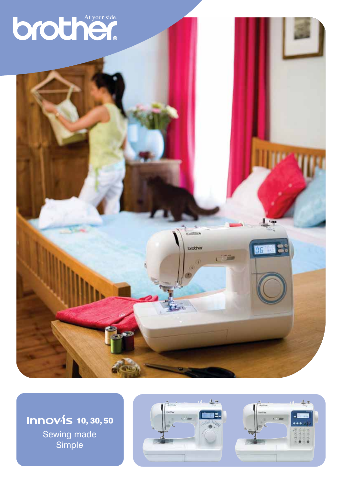# brother at your side.







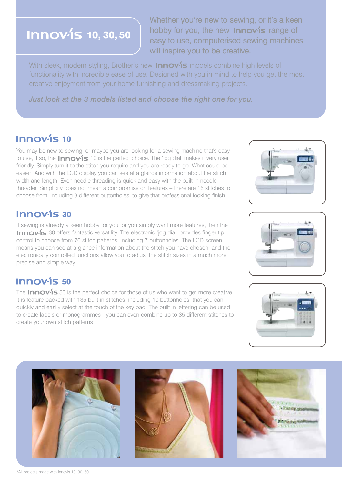## $Innov·ís$  10, 30, 50

Whether you're new to sewing, or it's a keen hobby for you, the new **Innov's** range of easy to use, computerised sewing machines will inspire you to be creative.

With sleek, modern styling, Brother's new **Innov-is** models combine high levels of functionality with incredible ease of use. Designed with you in mind to help you get the most creative enjoyment from your home furnishing and dressmaking projects.

*Just look at the 3 models listed and choose the right one for you.* 

## **Innov-15 10**

You may be new to sewing, or maybe you are looking for a sewing machine that's easy to use, if so, the **Innov's** 10 is the perfect choice. The 'jog dial' makes it very user friendly. Simply turn it to the stitch you require and you are ready to go. What could be easier! And with the LCD display you can see at a glance information about the stitch width and length. Even needle threading is quick and easy with the built-in needle threader. Simplicity does not mean a compromise on features – there are 16 stitches to choose from, including 3 different buttonholes, to give that professional looking finish.

## $Innov<sub>1530</sub>$

If sewing is already a keen hobby for you, or you simply want more features, then the **Innov's** 30 offers fantastic versatility. The electronic 'jog dial' provides finger tip control to choose from 70 stitch patterns, including 7 buttonholes. The LCD screen means you can see at a glance information about the stitch you have chosen, and the electronically controlled functions allow you to adjust the stitch sizes in a much more precise and simple way.

## **Innov-15 50**

The  $Innov's$  50 is the perfect choice for those of us who want to get more creative. It is feature packed with 135 built in stitches, including 10 buttonholes, that you can quickly and easily select at the touch of the key pad. The built in lettering can be used to create labels or monogrammes - you can even combine up to 35 different stitches to create your own stitch patterns!







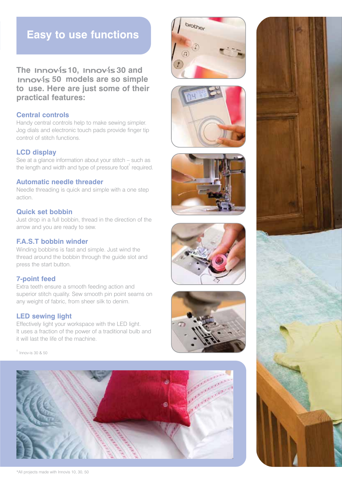## **Easy to use functions**

The Innov<sup>1</sup>s 10, Innov<sup>1</sup>s 30 and **50 models are so simple to use. Here are just some of their practical features:**

#### **Central controls**

Handy central controls help to make sewing simpler. Jog dials and electronic touch pads provide finger tip control of stitch functions.

#### **LCD display**

See at a glance information about your stitch – such as the length and width and type of pressure foot<sup>†</sup> required.

#### **Automatic needle threader**

Needle threading is quick and simple with a one step action.

#### **Quick set bobbin**

Just drop in a full bobbin, thread in the direction of the arrow and you are ready to sew.

#### **F.A.S.T bobbin winder**

Winding bobbins is fast and simple. Just wind the thread around the bobbin through the guide slot and press the start button.

#### **7-point feed**

Extra teeth ensure a smooth feeding action and superior stitch quality. Sew smooth pin point seams on any weight of fabric, from sheer silk to denim.

#### **LED sewing light**

Effectively light your workspace with the LED light. It uses a fraction of the power of a traditional bulb and it will last the life of the machine.

† Innov-is 30 & 50













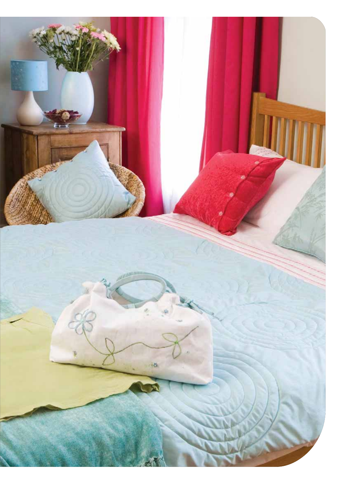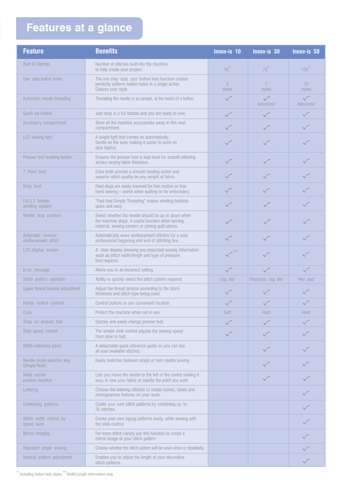## **Features at a glance**

| <b>Feature</b>                             | <b>Benefits</b>                                                                                                                                               | Innov-is 10             | Innov-is 30              | Innov-is 50               |
|--------------------------------------------|---------------------------------------------------------------------------------------------------------------------------------------------------------------|-------------------------|--------------------------|---------------------------|
| <b>Built in Stitches</b>                   | Number of stitches built into the machine<br>to help create your project.                                                                                     | $16^*$                  | $70*$                    | $135$ <sup>7</sup>        |
| One step button holes                      | The one step 'auto size' button hole function creates<br>perfectly uniform button holes in a single action.<br>Choose your style.                             | $\mathcal{S}$<br>styles | 7<br>styles              | 10 <sup>°</sup><br>styles |
| Automatic needle threading                 | Threading the needle is so simple, at the touch of a button.                                                                                                  |                         | $\checkmark$<br>Advanced | $\checkmark$<br>Advanced  |
| Quick set bobbin                           | Just drop in a full bobbin and you are ready to sew.                                                                                                          | $\sqrt{}$               | $\sqrt{}$                | $\checkmark$              |
| Accessory compartment                      | Store all the machine accessories away in this neat<br>compartment.                                                                                           |                         | $\checkmark$             |                           |
| LED sewing light                           | A bright light that comes on automatically.<br>Gentle on the eyes making it easier to work on<br>dark fabrics.                                                |                         | $\checkmark$             |                           |
| Presser foot levelling button              | Ensures the presser foot is kept level for smooth stitching<br>across varying fabric thickness.                                                               |                         | $\checkmark$             |                           |
| 7 Point feed                               | Extra teeth provide a smooth feeding action and<br>superior stitch quality on any weight of fabric.                                                           |                         | $\checkmark$             |                           |
| Drop feed                                  | Feed dogs are easily lowered for free motion or free<br>hand sewing – useful when quilting or for embroidery.                                                 |                         |                          |                           |
| F.A.S.T bobbin<br>winding system           | "Fast And Simple Threading" makes winding bobbins<br>quick and easy.                                                                                          |                         | $\checkmark$             |                           |
| Needle stop position                       | Select whether the needle should be up or down when<br>the machine stops. A useful function when turning<br>material, sewing corners or joining quilt pieces. |                         |                          |                           |
| Automatic reverse/<br>reinforcement stitch | Automatically sews reinforcement stitches for a neat,<br>professional beginning and end of stitching line.                                                    |                         | $\checkmark$             |                           |
| LCD display screen                         | A clear display showing you important sewing information<br>such as stitch width/length and type of pressure<br>foot required.                                |                         |                          |                           |
| Error message                              | Alerts you to an incorrect setting.                                                                                                                           | $\checkmark$            | $\sqrt{}$                | $\checkmark$              |
| Stitch pattern selection                   | Ability to quickly select the stitch pattern required.                                                                                                        | Jog dial                | Electronic jog dial      | Key pad                   |
| Upper thread tension adjustment            | Adjust the thread tension according to the fabric<br>thickness and stitch type being used.                                                                    |                         |                          |                           |
| Handy central controls                     | Control buttons in one convenient location.                                                                                                                   | V                       | $\sqrt{}$                |                           |
| Case                                       | Protect the machine when not in use.                                                                                                                          | Soft                    | <b>Hard</b>              | <b>Hard</b>               |
| Snap on presser feet                       | Quickly and easily change presser feet.                                                                                                                       |                         | $\checkmark$             |                           |
| Slide speed control                        | The simple slide control adjusts the sewing speed<br>from slow to fast.                                                                                       |                         | $\checkmark$             |                           |
| Stitch reference panel                     | A detachable quick reference quide so you can see<br>all your available stitches.                                                                             |                         |                          |                           |
| Needle mode selection key<br>(Single/Twin) | Easily switches between single or twin needle sewing                                                                                                          |                         |                          |                           |
| Initial needle<br>position function        | Lets you move the needle to the left or the centre making it<br>easy to sew your fabric at exactly the point you wish.                                        |                         |                          |                           |
| Lettering                                  | Choose the lettering stitches to create names, labels and<br>monogramme features on your work.                                                                |                         |                          |                           |
| Combining patterns                         | Create your own stitch patterns by combining up to<br>35 stitches.                                                                                            |                         |                          |                           |
| Stitch width control by<br>speed lever     | Create your own zigzag patterns easily, while sewing with<br>the slide control.                                                                               |                         |                          |                           |
| Mirror imaging                             | For more stitch variety use this function to create a<br>mirror image of your stitch pattern.                                                                 |                         |                          |                           |
| Repeated single sewing                     | Choose whether the stitch pattern will be sewn once or repeatedly.                                                                                            |                         |                          |                           |
| Vertical pattern adjustment                | Enables you to adjust the length of your decorative<br>stitch patterns.                                                                                       |                         |                          |                           |